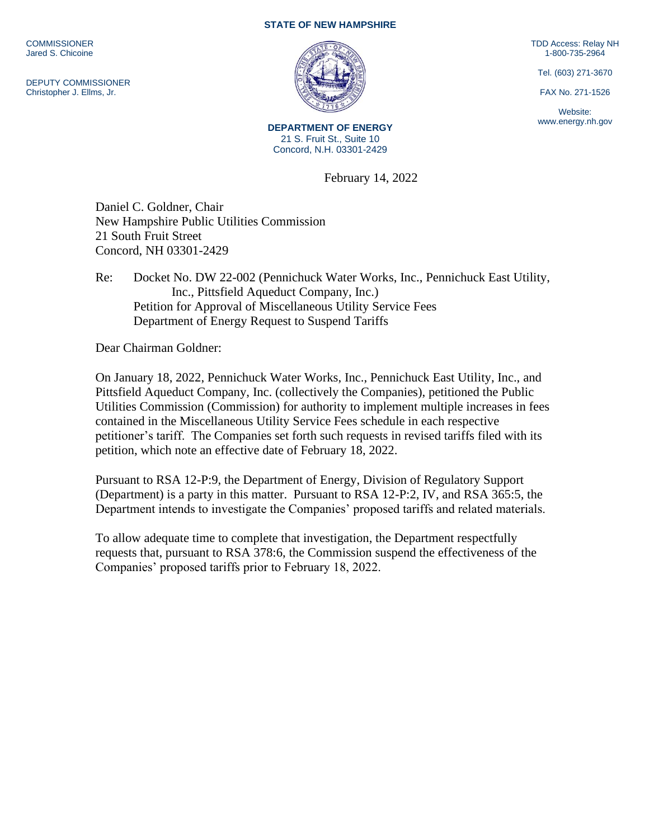**COMMISSIONER** Jared S. Chicoine

DEPUTY COMMISSIONER Christopher J. Ellms, Jr.

## **STATE OF NEW HAMPSHIRE**



**DEPARTMENT OF ENERGY** 21 S. Fruit St., Suite 10 Concord, N.H. 03301-2429

February 14, 2022

Daniel C. Goldner, Chair New Hampshire Public Utilities Commission 21 South Fruit Street Concord, NH 03301-2429

Re: Docket No. DW 22-002 (Pennichuck Water Works, Inc., Pennichuck East Utility, Inc., Pittsfield Aqueduct Company, Inc.) Petition for Approval of Miscellaneous Utility Service Fees Department of Energy Request to Suspend Tariffs

Dear Chairman Goldner:

On January 18, 2022, Pennichuck Water Works, Inc., Pennichuck East Utility, Inc., and Pittsfield Aqueduct Company, Inc. (collectively the Companies), petitioned the Public Utilities Commission (Commission) for authority to implement multiple increases in fees contained in the Miscellaneous Utility Service Fees schedule in each respective petitioner's tariff. The Companies set forth such requests in revised tariffs filed with its petition, which note an effective date of February 18, 2022.

Pursuant to RSA 12-P:9, the Department of Energy, Division of Regulatory Support (Department) is a party in this matter. Pursuant to RSA 12-P:2, IV, and RSA 365:5, the Department intends to investigate the Companies' proposed tariffs and related materials.

To allow adequate time to complete that investigation, the Department respectfully requests that, pursuant to RSA 378:6, the Commission suspend the effectiveness of the Companies' proposed tariffs prior to February 18, 2022.

TDD Access: Relay NH 1-800-735-2964

Tel. (603) 271-3670

FAX No. 271-1526

Website: www.energy.nh.gov